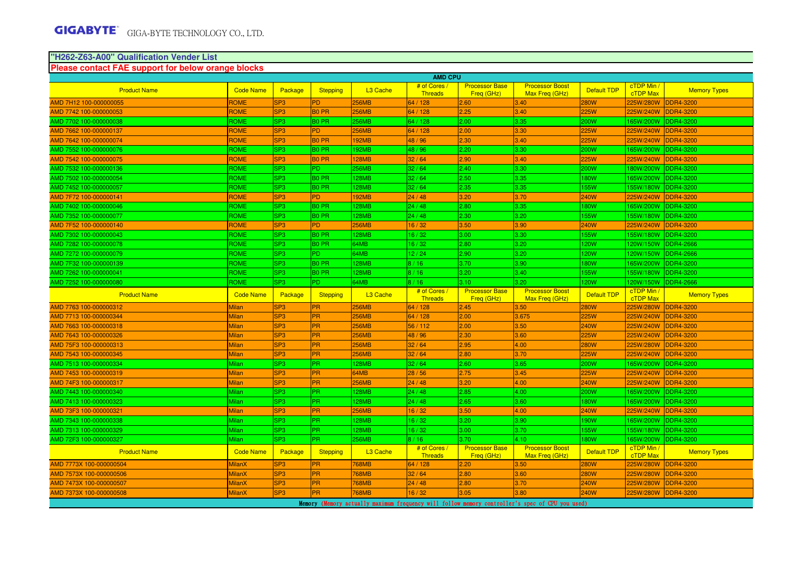#### **Please contact FAE support for below orange blocks "H262-Z63-A00" Qualification Vender List**

|                         | <b>AMD CPU</b>   |                 |                   |                      |                                |                                     |                                          |                    |                               |                     |  |
|-------------------------|------------------|-----------------|-------------------|----------------------|--------------------------------|-------------------------------------|------------------------------------------|--------------------|-------------------------------|---------------------|--|
| <b>Product Name</b>     | <b>Code Name</b> | Package         | <b>Stepping</b>   | L <sub>3</sub> Cache | # of Cores<br><b>Threads</b>   | <b>Processor Base</b><br>Freg (GHz) | <b>Processor Boost</b><br>Max Freg (GHz) | Default TDP        | cTDP Min /<br><b>cTDP Max</b> | <b>Memory Types</b> |  |
| AMD 7H12 100-000000055  | ROME             | SP <sub>3</sub> | PD.               | <b>256MB</b>         | 64/128                         | 2.60                                | .40 <sub>1</sub>                         | 280W               | 225W/280W                     | <b>DDR4-3200</b>    |  |
| AMD 7742 100-000000053  | ROME             | SP <sub>3</sub> | <b>BO PR</b>      | 256MB                | 64 / 128                       | 2.25                                | 3.40                                     | 225W               | 225W/240W                     | <b>DDR4-3200</b>    |  |
| AMD 7702 100-000000038  | <b>ROME</b>      | SP <sub>3</sub> | <b>BO PR</b>      | 256MB                | 64 / 128                       | 2.00                                | 3.35                                     | 200W               | 165W/200W                     | DDR4-3200           |  |
| AMD 7662 100-000000137  | <b>ROME</b>      | SP <sub>3</sub> | <b>PD</b>         | <b>256MB</b>         | 64 / 128                       | 2.00                                | 3.30                                     | 225W               | 225W/240W                     | <b>DDR4-3200</b>    |  |
| AMD 7642 100-000000074  | <b>ROME</b>      | SP <sub>3</sub> | <b>BO PR</b>      | <b>92MB</b>          | 48/96                          | 2.30                                | 3.40                                     | 225W               | 225W/240W                     | <b>DDR4-3200</b>    |  |
| AMD 7552 100-000000076  | ROME             | SP <sub>3</sub> | <b>BO PR</b>      | 192MB                | 48 / 96                        | 2.20                                | 3.30                                     | 200W               | 165W/200W                     | DDR4-3200           |  |
| AMD 7542 100-000000075  | <b>ROME</b>      | SP <sub>3</sub> | <b>BO PR</b>      | 128MB                | 32/64                          | 2.90                                | 3.40                                     | 225W               | 225W/240W                     | <b>DDR4-3200</b>    |  |
| AMD 7532 100-000000136  | ROME             | SP <sub>3</sub> | PD.               | 256MB                | 32/64                          | 2.40                                | 3.30                                     | 200W               | 180W/200W                     | DDR4-3200           |  |
| AMD 7502 100-000000054  | ROME             | SP <sub>3</sub> | <b>BO PR</b>      | 28MB                 | 32/64                          | 2.50                                | 3.35                                     | <b>80W</b>         | 165W/200W                     | DDR4-3200           |  |
| AMD 7452 100-000000057  | ROME             | SP <sub>3</sub> | <b>BO PR</b>      | 28MB                 | 32/64                          | 2.35                                | 3.35                                     | <b>55W</b>         | 155W/180W                     | DDR4-3200           |  |
| AMD 7F72 100-000000141  | <b>ROME</b>      | SP <sub>3</sub> | <b>PD</b>         | 192MB                | 24/48                          | 3.20                                | 3.70                                     | <b>240W</b>        | 225W/240W                     | <b>DDR4-3200</b>    |  |
| AMD 7402 100-000000046  | ROME             | SP <sub>3</sub> | <b>BO PR</b>      | 28MB                 | 24/48                          | 2.80                                | 3.35                                     | 80W                | 165W/200W                     | <b>DDR4-3200</b>    |  |
| AMD 7352 100-000000077  | ROME             | SP <sub>3</sub> | <b>BO PR</b>      | 28MB                 | 24/48                          | 2.30                                | 3.20                                     | <b>55W</b>         | 155W/180W                     | DDR4-3200           |  |
| AMD 7F52 100-000000140  | <b>ROME</b>      | SP <sub>3</sub> | <b>PD</b>         | <b>256MB</b>         | 16/32                          | 3.50                                | 3.90                                     | 240W               | 225W/240W                     | <b>DDR4-3200</b>    |  |
| AMD 7302 100-000000043  | ROME             | SP <sub>3</sub> | <b>BO PR</b>      | <b>28MB</b>          | 16/32                          | 3.00                                | 3.30                                     | <b>55W</b>         | 155W/180W                     | DDR4-3200           |  |
| AMD 7282 100-000000078  | ROME             | SP <sub>3</sub> | B <sub>0</sub> PR | 64MB                 | 16/32                          | 2.80                                | 3.20                                     | 120W               | 120W/150W                     | <b>DDR4-2666</b>    |  |
| AMD 7272 100-000000079  | ROME             | SP <sub>3</sub> | P <sub>D</sub>    | 64MB                 | 12/24                          | 2.90                                | 3.20                                     | <b>20W</b>         | 120W/150W                     | <b>DDR4-2666</b>    |  |
| MD 7F32 100-000000139   | ROME             | SP <sub>3</sub> | <b>BO PR</b>      | 28MB                 | 8/16                           | 3.70                                | 3.90                                     | 80W                | 165W/200W                     | <b>DDR4-3200</b>    |  |
| MD 7262 100-000000041   | ROME             | SP <sub>3</sub> | <b>BO PR</b>      | <b>28MB</b>          | 8/16                           | 3.20                                | 3.40                                     | <b>55W</b>         | 155W/180W                     | <b>DDR4-3200</b>    |  |
| AMD 7252 100-000000080  | ROME             | SP <sub>3</sub> | PD.               | 64MB                 | 8/16                           | 3.10                                | 3.20                                     | 120W               | 120W/150W                     | <b>DDR4-2666</b>    |  |
| <b>Product Name</b>     | <b>Code Name</b> | Package         |                   | L3 Cache             | # of Cores /                   | <b>Processor Base</b>               | <b>Processor Boost</b>                   |                    | cTDP Min /                    |                     |  |
|                         |                  |                 | <b>Stepping</b>   |                      | <b>Threads</b>                 | Freq (GHz)                          | Max Freg (GHz)                           | <b>Default TDP</b> | cTDP Max                      | <b>Memory Types</b> |  |
| AMD 7763 100-000000312  | Milan            | SP <sub>3</sub> | PR                | 256MB                | 64 / 128                       | 2.45                                | 3.50                                     | 280W               | 225W/280W                     | <b>DDR4-3200</b>    |  |
| AMD 7713 100-000000344  | Milan            | SP <sub>3</sub> | <b>PR</b>         | 256MB                | 64 / 128                       | 2.00                                | 3.675                                    | <b>225W</b>        | 225W/240W                     | <b>DDR4-3200</b>    |  |
| AMD 7663 100-000000318  | Milan            | SP <sub>3</sub> | PR                | 256MB                | 56/112                         | 2.00                                | 3.50                                     | 240W               | 225W/240W                     | DDR4-3200           |  |
| AMD 7643 100-000000326  | <b>Milan</b>     | SP <sub>3</sub> | <b>PR</b>         | 256MB                | 48 / 96                        | 2.30                                | 3.60                                     | 225W               | 225W/240W                     | <b>DDR4-3200</b>    |  |
| AMD 75F3 100-000000313  | Milan            | SP <sub>3</sub> | PR                | 256MB                | 32/64                          | 2.95                                | 4.00                                     | 280W               | 225W/280W                     | <b>DDR4-3200</b>    |  |
| AMD 7543 100-000000345  | Milan            | SP <sub>3</sub> | <b>PR</b>         | <b>256MB</b>         | 32/64                          | 2.80                                | 3.70                                     | <b>225W</b>        | 225W/240W                     | <b>DDR4-3200</b>    |  |
| AMD 7513 100-000000334  | Milan            | SP <sub>3</sub> | PR                | 28MB                 | 32/64                          | 2.60                                | 3.65                                     | 200W               | 165W/200W                     | DDR4-3200           |  |
| AMD 7453 100-000000319  | <b>Milan</b>     | SP <sub>3</sub> | <b>PR</b>         | 64MB                 | 28 / 56                        | 2.75                                | 3.45                                     | <b>225W</b>        | 225W/240W                     | <b>DDR4-3200</b>    |  |
| AMD 74F3 100-000000317  | Milan            | SP <sub>3</sub> | PR                | 256MB                | 24/48                          | 3.20                                | 4.00                                     | 240W               | 225W/240W                     | <b>DDR4-3200</b>    |  |
| AMD 7443 100-000000340  | Milan            | SP <sub>3</sub> | <b>PR</b>         | 28MB                 | 24/48                          | 2.85                                | 4.00                                     | 200W               | 165W/200W                     | <b>DDR4-3200</b>    |  |
| AMD 7413 100-000000323  | Milan            | SP <sub>3</sub> | <b>PR</b>         | 28MB                 | 24/48                          | 2.65                                | 3.60                                     | <b>80W</b>         | 165W/200W                     | DDR4-3200           |  |
| AMD 73F3 100-000000321  | <b>Milan</b>     | SP <sub>3</sub> | <b>PR</b>         | <b>256MB</b>         | 16/32                          | 3.50                                | 4.00                                     | <b>240W</b>        | 225W/240W                     | <b>DDR4-3200</b>    |  |
| AMD 7343 100-000000338  | Milan            | SP <sub>3</sub> | <b>PR</b>         | 28MB                 | 16/32                          | 3.20                                | 3.90                                     | <b>90W</b>         | 65W/200W                      | DDR4-3200           |  |
| AMD 7313 100-000000329  | Milan            | SP <sub>3</sub> | PR.               | <b>28MB</b>          | 16/32                          | 3.00                                | 3.70                                     | 155W               | 155W/180W                     | DDR4-3200           |  |
| AMD 72F3 100-000000327  | Milan            | SP <sub>3</sub> | <b>PR</b>         | 256MB                | 8/16                           | 3.70                                | 4.10                                     | <b>80W</b>         | 165W/200W                     | DDR4-3200           |  |
| <b>Product Name</b>     | <b>Code Name</b> | Package         | <b>Stepping</b>   | L3 Cache             | # of Cores /<br><b>Threads</b> | <b>Processor Base</b><br>Freg (GHz) | <b>Processor Boost</b><br>Max Freg (GHz) | <b>Default TDP</b> | cTDP Min /<br>cTDP Max        | <b>Memory Types</b> |  |
| AMD 7773X 100-000000504 | <b>MilanX</b>    | SP <sub>3</sub> | PR                | <b>768MB</b>         | 64 / 128                       | 2.20                                | 3.50                                     | <b>280W</b>        | 225W/280W                     | <b>DDR4-3200</b>    |  |
| AMD 7573X 100-000000506 | <b>MilanX</b>    | SP <sub>3</sub> | <b>PR</b>         | 768MB                | 32/64                          | 2.80                                | 3.60                                     | <b>280W</b>        | 225W/280W                     | <b>DDR4-3200</b>    |  |
| AMD 7473X 100-000000507 | <b>MilanX</b>    | SP <sub>3</sub> | <b>PR</b>         | <b>768MB</b>         | 24/48                          | 2.80                                | 3.70                                     | <b>240W</b>        | 225W/280W                     | <b>DDR4-3200</b>    |  |
| AMD 7373X 100-000000508 | <b>MilanX</b>    | SP <sub>3</sub> | <b>PR</b>         | 768MB                | 16/32                          | 3.05                                | 3.80                                     | 240W               | 225W/280W                     | <b>DDR4-3200</b>    |  |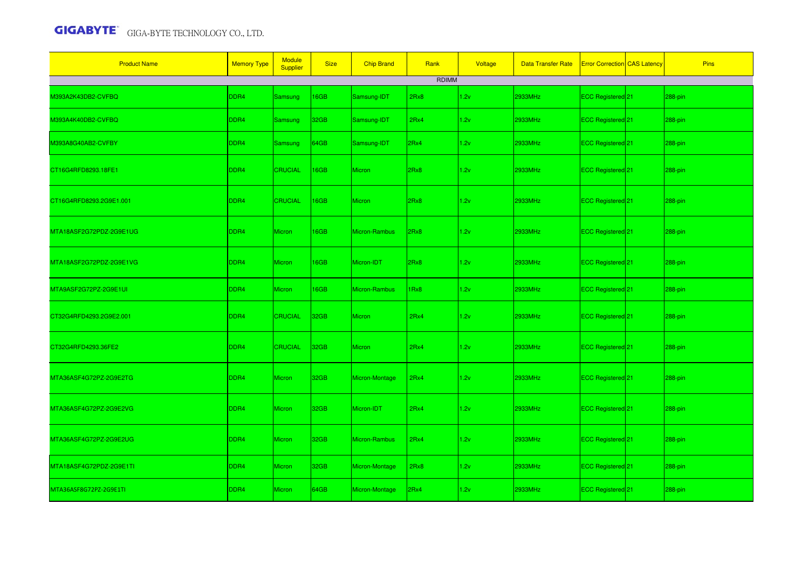| <b>Product Name</b>     | <b>Memory Type</b> | <b>Module</b><br>Supplier | <b>Size</b>      | <b>Chip Brand</b> | Rank         | Voltage | <b>Data Transfer Rate</b> | <b>Error Correction CAS Latency</b> | <b>Pins</b> |
|-------------------------|--------------------|---------------------------|------------------|-------------------|--------------|---------|---------------------------|-------------------------------------|-------------|
|                         |                    |                           |                  |                   | <b>RDIMM</b> |         |                           |                                     |             |
| M393A2K43DB2-CVFBQ      | DDR4               | Samsung                   | 16GB             | Samsung-IDT       | 2Rx8         | 1.2v    | 2933MHz                   | ECC Registered 21                   | 288-pin     |
| M393A4K40DB2-CVFBQ      | DDR4               | Samsung                   | 32GB             | Samsung-IDT       | 2Rx4         | 1.2v    | 2933MHz                   | ECC Registered 21                   | 288-pin     |
| M393A8G40AB2-CVFBY      | DDR4               | <b>Samsung</b>            | 64GB             | Samsung-IDT       | 2Rx4         | 1.2v    | 2933MHz                   | ECC Registered 21                   | 288-pin     |
| CT16G4RFD8293.18FE1     | DDR4               | <b>CRUCIAL</b>            | 16GB             | Micron            | 2Rx8         | 1.2v    | 2933MHz                   | ECC Registered 21                   | 288-pin     |
| CT16G4RFD8293.2G9E1.001 | DDR <sub>4</sub>   | <b>CRUCIAL</b>            | 16GB             | Micron            | 2Rx8         | 1.2v    | 2933MHz                   | ECC Registered <sup>21</sup>        | 288-pin     |
| MTA18ASF2G72PDZ-2G9E1UG | DDR4               | Micron                    | 16GB             | Micron-Rambus     | 2Rx8         | 1.2v    | 2933MHz                   | ECC Registered 21                   | 288-pin     |
| MTA18ASF2G72PDZ-2G9E1VG | DDR4               | Micron                    | 16GB             | Micron-IDT        | 2Rx8         | 1.2v    | 2933MHz                   | ECC Registered 21                   | 288-pin     |
| MTA9ASF2G72PZ-2G9E1UI   | DDR4               | Micron                    | 16GB             | Micron-Rambus     | 1Rx8         | 1.2v    | 2933MHz                   | ECC Registered 21                   | 288-pin     |
| CT32G4RFD4293.2G9E2.001 | DDR4               | <b>CRUCIAL</b>            | 32 <sub>GB</sub> | <b>Micron</b>     | 2Rx4         | 1.2v    | 2933MHz                   | ECC Registered 21                   | 288-pin     |
| CT32G4RFD4293.36FE2     | DDR4               | <b>CRUCIAL</b>            | 32 <sub>GB</sub> | <b>Micron</b>     | 2Rx4         | 1.2v    | 2933MHz                   | ECC Registered 21                   | 288-pin     |
| MTA36ASF4G72PZ-2G9E2TG  | DDR4               | Micron                    | 32GB             | Micron-Montage    | 2Rx4         | 1.2v    | <b>2933MHz</b>            | ECC Registered 21                   | 288-pin     |
| MTA36ASF4G72PZ-2G9E2VG  | DDR4               | Micron                    | 32GB             | Micron-IDT        | 2Rx4         | 1.2v    | 2933MHz                   | ECC Registered 21                   | 288-pin     |
| MTA36ASF4G72PZ-2G9E2UG  | DDR4               | Micron                    | 32GB             | Micron-Rambus     | 2Rx4         | 1.2v    | 2933MHz                   | ECC Registered 21                   | 288-pin     |
| MTA18ASF4G72PDZ-2G9E1TI | DDR4               | Micron                    | 32GB             | Micron-Montage    | 2Rx8         | 1.2v    | 2933MHz                   | ECC Registered <sup>21</sup>        | 288-pin     |
| MTA36ASF8G72PZ-2G9E1TI  | DDR4               | Micron                    | 64GB             | Micron-Montage    | 2Rx4         | 1.2v    | 2933MHz                   | ECC Registered 21                   | 288-pin     |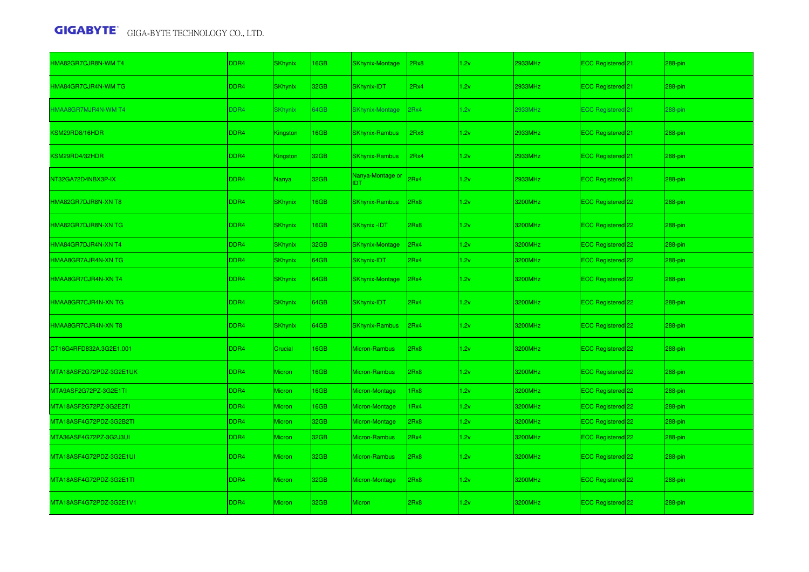| HMA82GR7CJR8N-WM T4        | DDR4 | <b>SKhynix</b>  | 16GB | <b>SKhynix-Montage</b>         | 2Rx8             | 1.2v | 2933MHz | ECC Registered 21            | 288-pin |
|----------------------------|------|-----------------|------|--------------------------------|------------------|------|---------|------------------------------|---------|
| HMA84GR7CJR4N-WM TG        | DDR4 | <b>SKhynix</b>  | 32GB | SKhynix-IDT                    | 2Rx4             | 1.2v | 2933MHz | ECC Registered 21            | 288-pin |
| <b>HMAA8GR7MJR4N-WM T4</b> | DDR4 | <b>SKhynix</b>  | 64GB | <b>SKhynix-Montage</b>         | 2Rx4             | 1.2v | 2933MHz | <b>ECC Registered 21</b>     | 288-pin |
| KSM29RD8/16HDR             | DDR4 | <b>Kingston</b> | 16GB | <b>SKhynix-Rambus</b>          | 2Rx8             | 1.2v | 2933MHz | ECC Registered <sup>21</sup> | 288-pin |
| KSM29RD4/32HDR             | DDR4 | Kingston        | 32GB | <b>SKhynix-Rambus</b>          | 2Rx4             | 1.2v | 2933MHz | ECC Registered <sup>21</sup> | 288-pin |
| NT32GA72D4NBX3P-IX         | DDR4 | Nanya           | 32GB | Nanya-Montage or<br><b>IDT</b> | 2Rx4             | 1.2v | 2933MHz | ECC Registered 21            | 288-pin |
| HMA82GR7DJR8N-XN T8        | DDR4 | <b>SKhynix</b>  | 16GB | <b>SKhynix-Rambus</b>          | 2Rx8             | 1.2v | 3200MHz | ECC Registered 22            | 288-pin |
| HMA82GR7DJR8N-XN TG        | DDR4 | <b>SKhynix</b>  | 16GB | SKhynix -IDT                   | 2Rx8             | 1.2v | 3200MHz | ECC Registered 22            | 288-pin |
| HMA84GR7DJR4N-XN T4        | DDR4 | SKhynix         | 32GB | <b>SKhynix-Montage</b>         | 2Rx4             | 1.2v | 3200MHz | ECC Registered 22            | 288-pin |
| HMAA8GR7AJR4N-XN TG        | DDR4 | <b>SKhynix</b>  | 64GB | SKhynix-IDT                    | 2Rx4             | 1.2v | 3200MHz | ECC Registered 22            | 288-pin |
| HMAA8GR7CJR4N-XN T4        | DDR4 | <b>SKhynix</b>  | 64GB | <b>SKhynix-Montage</b>         | 2Rx4             | 1.2v | 3200MHz | ECC Registered 22            | 288-pin |
| HMAA8GR7CJR4N-XN TG        | DDR4 | <b>SKhynix</b>  | 64GB | SKhynix-IDT                    | 2Rx4             | 1.2v | 3200MHz | ECC Registered 22            | 288-pin |
| HMAA8GR7CJR4N-XN T8        | DDR4 | <b>SKhynix</b>  | 64GB | <b>SKhynix-Rambus</b>          | 2Rx4             | 1.2v | 3200MHz | ECC Registered 22            | 288-pin |
| CT16G4RFD832A.3G2E1.001    | DDR4 | Crucial         | 16GB | <b>Micron-Rambus</b>           | 2Rx8             | 1.2v | 3200MHz | ECC Registered 22            | 288-pin |
| MTA18ASF2G72PDZ-3G2E1UK    | DDR4 | <b>Micron</b>   | 16GB | <b>Micron-Rambus</b>           | 2Rx8             | 1.2v | 3200MHz | ECC Registered 22            | 288-pin |
| MTA9ASF2G72PZ-3G2E1TI      | DDR4 | <b>Micron</b>   | 16GB | Micron-Montage                 | 1Rx8             | 1.2v | 3200MHz | ECC Registered 22            | 288-pin |
| MTA18ASF2G72PZ-3G2E2TI     | DDR4 | Micron          | 16GB | Micron-Montage                 | 1 <sub>Rx4</sub> | 1.2v | 3200MHz | ECC Registered 22            | 288-pin |
| MTA18ASF4G72PDZ-3G2B2TI    | DDR4 | Micron          | 32GB | Micron-Montage                 | 2Rx8             | 1.2v | 3200MHz | ECC Registered 22            | 288-pin |
| MTA36ASF4G72PZ-3G2J3UI     | DDR4 | Micron          | 32GB | <b>Micron-Rambus</b>           | 2Rx4             | 1.2v | 3200MHz | ECC Registered 22            | 288-pin |
| MTA18ASF4G72PDZ-3G2E1UI    | DDR4 | <b>Micron</b>   | 32GB | <b>Micron-Rambus</b>           | 2Rx8             | 1.2v | 3200MHz | ECC Registered 22            | 288-pin |
| MTA18ASF4G72PDZ-3G2E1TI    | DDR4 | <b>Micron</b>   | 32GB | Micron-Montage                 | 2Rx8             | 1.2v | 3200MHz | ECC Registered 22            | 288-pin |
| MTA18ASF4G72PDZ-3G2E1V1    | DDR4 | <b>Micron</b>   | 32GB | <b>Micron</b>                  | 2Rx8             | 1.2v | 3200MHz | ECC Registered 22            | 288-pin |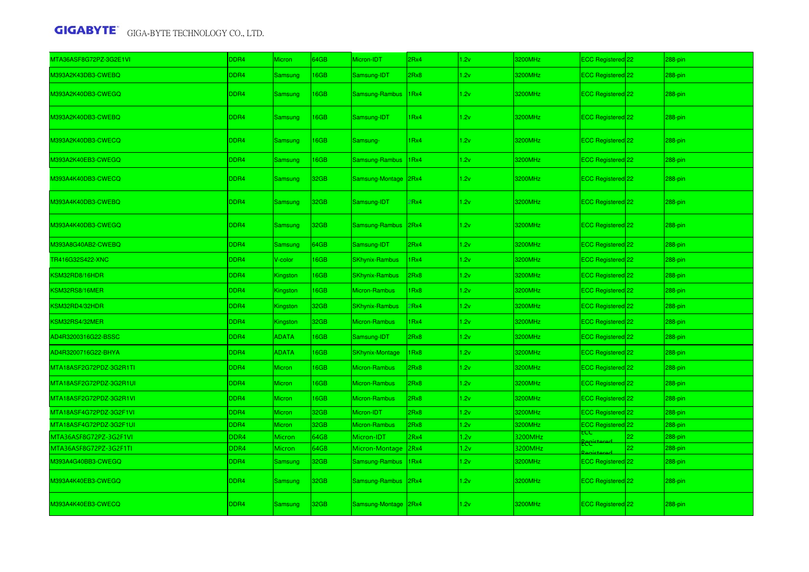| MTA36ASF8G72PZ-3G2E1VI  | DDR4 | Micron         | 64GB             | Micron-IDT             | 2Rx4       | 1.2v | 3200MHz | ECC Registered 22              |    | 288-pin     |
|-------------------------|------|----------------|------------------|------------------------|------------|------|---------|--------------------------------|----|-------------|
| M393A2K43DB3-CWEBQ      | DDR4 | Samsung        | 16GB             | Samsung-IDT            | 2Rx8       | 1.2v | 3200MHz | ECC Registered 22              |    | 288-pin     |
| M393A2K40DB3-CWEGQ      | DDR4 | <b>Samsung</b> | 16GB             | Samsung-Rambus         | 1Rx4       | 1.2v | 3200MHz | ECC Registered 22              |    | $288 - pin$ |
| M393A2K40DB3-CWEBQ      | DDR4 | Samsung        | 16GB             | Samsung-IDT            | 1Rx4       | 1.2v | 3200MHz | ECC Registered 22              |    | 288-pin     |
| M393A2K40DB3-CWECQ      | DDR4 | <b>Samsung</b> | 16GB             | Samsung-               | 1Rx4       | 1.2v | 3200MHz | ECC Registered <sup>22</sup>   |    | 288-pin     |
| M393A2K40EB3-CWEGQ      | DDR4 | Samsung        | 16GB             | Samsung-Rambus         | 1Rx4       | 1.2v | 3200MHz | ECC Registered 22              |    | 288-pin     |
| M393A4K40DB3-CWECQ      | DDR4 | <b>Samsung</b> | 32GB             | Samsung-Montage 2Rx4   |            | 1.2v | 3200MHz | ECC Registered 22              |    | 288-pin     |
| M393A4K40DB3-CWEBQ      | DDR4 | <b>Samsung</b> | 32GB             | Samsung-IDT            | <b>Rx4</b> | 1.2v | 3200MHz | ECC Registered <sup>22</sup>   |    | 288-pin     |
| M393A4K40DB3-CWEGQ      | DDR4 | <b>Samsung</b> | 32GB             | Samsung-Rambus 2Rx4    |            | 1.2v | 3200MHz | ECC Registered 22              |    | 288-pin     |
| M393A8G40AB2-CWEBQ      | DDR4 | Samsung        | 64GB             | Samsung-IDT            | 2Rx4       | 1.2v | 3200MHz | ECC Registered 22              |    | 288-pin     |
| TR416G32S422-XNC        | DDR4 | V-color        | 16GB             | <b>SKhynix-Rambus</b>  | 1Rx4       | 1.2v | 3200MHz | ECC Registered 22              |    | 288-pin     |
| KSM32RD8/16HDR          | DDR4 | Kingston       | 16GB             | <b>SKhynix-Rambus</b>  | 2Rx8       | 1.2v | 3200MHz | ECC Registered 22              |    | 288-pin     |
| KSM32RS8/16MER          | DDR4 | Kingston       | 16GB             | Micron-Rambus          | Rx8        | 1.2v | 3200MHz | ECC Registered 22              |    | 288-pin     |
| KSM32RD4/32HDR          | DDR4 | Kingston       | 32GB             | <b>SKhynix-Rambus</b>  | <b>Rx4</b> | 1.2v | 3200MHz | ECC Registered 22              |    | 288-pin     |
| KSM32RS4/32MER          | DDR4 | Kingston       | 32GB             | Micron-Rambus          | 1Rx4       | 1.2v | 3200MHz | ECC Registered 22              |    | 288-pin     |
| AD4R3200316G22-BSSC     | DDR4 | <b>ADATA</b>   | 16GB             | Samsung-IDT            | 2Rx8       | 1.2v | 3200MHz | ECC Registered 22              |    | 288-pin     |
| AD4R3200716G22-BHYA     | DDR4 | <b>ADATA</b>   | 16GB             | <b>SKhynix-Montage</b> | 1Rx8       | 1.2v | 3200MHz | ECC Registered 22              |    | 288-pin     |
| MTA18ASF2G72PDZ-3G2R1TI | DDR4 | Micron         | 16GB             | Micron-Rambus          | 2Rx8       | 1.2v | 3200MHz | ECC Registered 22              |    | 288-pin     |
| MTA18ASF2G72PDZ-3G2R1UI | DDR4 | Micron         | 16GB             | Micron-Rambus          | 2Rx8       | 1.2v | 3200MHz | ECC Registered 22              |    | 288-pin     |
| MTA18ASF2G72PDZ-3G2R1VI | DDR4 | Micron         | 16GB             | Micron-Rambus          | 2Rx8       | 1.2v | 3200MHz | ECC Registered 22              |    | 288-pin     |
| MTA18ASF4G72PDZ-3G2F1VI | DDR4 | Micron         | 32GB             | Micron-IDT             | 2Rx8       | 1.2v | 3200MHz | ECC Registered <sup>122</sup>  |    | 288-pin     |
| MTA18ASF4G72PDZ-3G2F1UI | DDR4 | Micron         | 32GB             | Micron-Rambus          | 2Rx8       | 1.2v | 3200MHz | ECC Registered 22              |    | 288-pin     |
| MTA36ASF8G72PZ-3G2F1VI  | DDR4 | Micron         | 64GB             | Micron-IDT             | 2Rx4       | 1.2v | 3200MHz | ā                              |    | 288-pin     |
| MTA36ASF8G72PZ-3G2F1TI  | DDR4 | Micron         | 64GB             | Micron-Montage 2Rx4    |            | 1.2v | 3200MHz | <del>Ecc"</del>                | 22 | 288-pin     |
| M393A4G40BB3-CWEGQ      | DDR4 | Samsung        | 32GB             | Samsung-Rambus         | 1Rx4       | 1.2v | 3200MHz | ECC Registered 22              |    | 288-pin     |
| M393A4K40EB3-CWEGQ      | DDR4 | <b>Samsung</b> | 32 <sub>GB</sub> | Samsung-Rambus 2Rx4    |            | 1.2v | 3200MHz | ECC Registered 22              |    | 288-pin     |
| M393A4K40EB3-CWECQ      | DDR4 | Samsung        | 32GB             | Samsung-Montage 2Rx4   |            | 1.2v | 3200MHz | ECC Registered <sup>[22]</sup> |    | 288-pin     |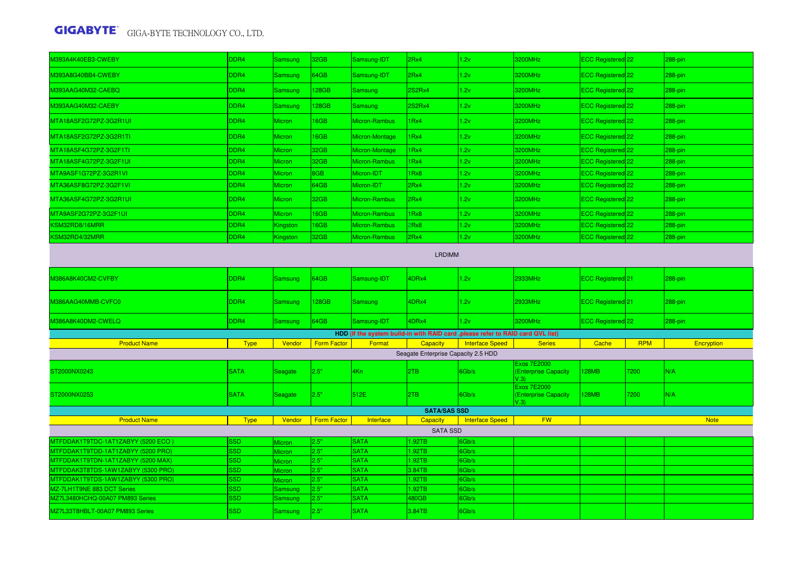| 0393A4K40EB3-CWEBY                                                              | DDR4                     | <b>Samsung</b>   | 32GB         | Samsung-IDT                | 2Rx4                                | 1.2v                                                                             | 3200MHz                                            | ECC Registered 22            |            | 288-pin     |
|---------------------------------------------------------------------------------|--------------------------|------------------|--------------|----------------------------|-------------------------------------|----------------------------------------------------------------------------------|----------------------------------------------------|------------------------------|------------|-------------|
| M393A8G40BB4-CWEBY                                                              | DDR4                     | Samsung          | 64GB         | Samsung-IDT                | 2Rx4                                | 1.2v                                                                             | 3200MHz                                            | ECC Registered 22            |            | 288-pin     |
| M393AAG40M32-CAEBQ                                                              | DDR4                     | Samsung          | 128GB        | Samsung                    | 2S2Rx4                              | 1.2v                                                                             | 3200MHz                                            | ECC Registered 22            |            | 288-pin     |
| M393AAG40M32-CAEBY                                                              | DDR4                     | Samsung          | 128GB        | Samsung                    | <b>2S2Rx4</b>                       | 1.2v                                                                             | 3200MHz                                            | ECC Registered 22            |            | 288-pin     |
| MTA18ASF2G72PZ-3G2R1UI                                                          | DDR4                     | <b>Micron</b>    | 16GB         | Micron-Rambus              | 1Rx4                                | 1.2v                                                                             | 3200MHz                                            | ECC Registered <sup>22</sup> |            | 288-pin     |
| MTA18ASF2G72PZ-3G2R1TI                                                          | DDR4                     | Micron           | 16GB         | Micron-Montage             | 1Rx4                                | 1.2v                                                                             | 3200MHz                                            | ECC Registered 22            |            | 288-pin     |
| MTA18ASF4G72PZ-3G2F1TI                                                          | DDR4                     | Micron           | 32GB         | Micron-Montage             | 1Rx4                                | 1.2v                                                                             | 3200MHz                                            | ECC Registered 22            |            | 288-pin     |
| MTA18ASF4G72PZ-3G2F1UI                                                          | DDR4                     | <b>Micron</b>    | 32GB         | Micron-Rambus              | 1Rx4                                | 1.2v                                                                             | 3200MHz                                            | ECC Registered 22            |            | 288-pin     |
| MTA9ASF1G72PZ-3G2R1VI                                                           | DDR4                     | Micron           | 8GB          | Micron-IDT                 | 1Rx8                                | 1.2v                                                                             | 3200MHz                                            | ECC Registered 22            |            | 288-pin     |
| MTA36ASF8G72PZ-3G2F1VI                                                          | DDR4                     | <b>Micron</b>    | 64GB         | Micron-IDT                 | 2Rx4                                | 1.2v                                                                             | 3200MHz                                            | ECC Registered <sup>22</sup> |            | 288-pin     |
| MTA36ASF4G72PZ-3G2R1UI                                                          | DDR4                     | <b>Micron</b>    | 32GB         | Micron-Rambus              | 2Rx4                                | 1.2v                                                                             | 3200MHz                                            | ECC Registered 22            |            | 288-pin     |
| MTA9ASF2G72PZ-3G2F1UI                                                           | DDR4                     | Micron           | 16GB         | Micron-Rambus              | 1Rx8                                | 1.2v                                                                             | 3200MHz                                            | ECC Registered 22            |            | 288-pin     |
| KSM32RD8/16MRR                                                                  | DDR4                     | Kingston         | 16GB         | Micron-Rambus              | 2Rx8                                | 1.2v                                                                             | 3200MHz                                            | ECC Registered 22            |            | 288-pin     |
| KSM32RD4/32MRR                                                                  | DDR4                     | Kingston         | 32GB         | Micron-Rambus              | 2Rx4                                | 1.2v                                                                             | 3200MHz                                            | ECC Registered 22            |            | 288-pin     |
|                                                                                 |                          |                  |              |                            | <b>LRDIMM</b>                       |                                                                                  |                                                    |                              |            |             |
| M386A8K40CM2-CVFBY                                                              | DDR4                     | <b>Samsung</b>   | 64GB         | Samsung-IDT                | 4DRx4                               | 1.2v                                                                             | 2933MHz                                            | ECC Registered 21            |            | 288-pin     |
| M386AAG40MMB-CVFC0                                                              | DDR4                     | Samsung          | 128GB        | <b>Samsung</b>             | 4DRx4                               | 1.2v                                                                             | 2933MHz                                            | ECC Registered 21            |            | 288-pin     |
| M386A8K40DM2-CWELQ                                                              | DDR4                     | <b>Samsung</b>   | 64GB         | Samsung-IDT                | 4DRx4                               | 1.2v                                                                             | 3200MHz                                            | ECC Registered 22            |            | 288-pin     |
|                                                                                 |                          |                  |              |                            |                                     | HDD (If the system build-in with RAID card , please refer to RAID card QVL list) |                                                    |                              |            |             |
| <b>Product Name</b>                                                             | <b>Type</b>              | Vendor           | Form Factor  | Format                     | Capacity                            | <b>Interface Speed</b>                                                           | <b>Series</b>                                      | Cache                        | <b>RPM</b> | Encryption  |
|                                                                                 |                          |                  |              |                            | Seagate Enterprise Capacity 2.5 HDD |                                                                                  |                                                    |                              |            |             |
| ST2000NX0243                                                                    | <b>SATA</b>              | Seagate          | 2.5"         | 4Kn                        | 2TB                                 | 6Gb/s                                                                            | <b>Exos 7E2000</b><br>(Enterprise Capacity<br>V.3) | <b>128MB</b>                 | 7200       | N/A         |
| ST2000NX0253                                                                    | <b>SATA</b>              | Seagate          | 2.5"         | 512E                       | 2TB                                 | 6Gb/s                                                                            | <b>Exos 7E2000</b><br>(Enterprise Capacity<br>V.3) | <b>128MB</b>                 | 200        | N/A         |
|                                                                                 |                          |                  |              |                            | <b>SATA/SAS SSD</b>                 |                                                                                  |                                                    |                              |            |             |
| <b>Product Name</b>                                                             | <b>Type</b>              | Vendor           | Form Factor  | Interface                  | <b>Capacity</b>                     | <b>Interface Speed</b>                                                           | <b>FW</b>                                          |                              |            | <b>Note</b> |
|                                                                                 |                          |                  |              |                            | <b>SATA SSD</b>                     |                                                                                  |                                                    |                              |            |             |
| (5200 ECO) MTFDDAK1T9TDC-1AT1ZABYY                                              | <b>SSD</b>               | <b>Micron</b>    | 2.5"         | <b>SATA</b>                | 1.92TB                              | 6Gb/s                                                                            |                                                    |                              |            |             |
| <b>ITFDDAK1T9TDD-1AT1ZABYY (5200 PRO)</b>                                       | <b>SSD</b>               | <b>Micron</b>    | 2.5"         | <b>SATA</b>                | 1.92TB                              | Gb/s                                                                             |                                                    |                              |            |             |
| MTFDDAK1T9TDN-1AT1ZABYY (5200 MAX)<br><b>ATFDDAK3T8TDS-1AW1ZABYY (5300 PRO)</b> | <b>SSD</b><br><b>SSD</b> | Micron           | 2.5"<br>2.5" | <b>SATA</b><br><b>SATA</b> | 1.92TB<br>3.84TB                    | 6Gb/s<br>6Gb/s                                                                   |                                                    |                              |            |             |
| MTFDDAK1T9TDS-1AW1ZABYY (5300 PRO)                                              | <b>SSD</b>               | Micron<br>Micron | 2.5"         | <b>SATA</b>                | 1.92TB                              | 6Gb/s                                                                            |                                                    |                              |            |             |
| MZ-7LH1T9NE 883 DCT Series                                                      | <b>SSD</b>               | Samsung          | 2.5"         | <b>SATA</b>                | .92TB                               | 6Gb/s                                                                            |                                                    |                              |            |             |
| MZ7L3480HCHQ-00A07 PM893 Series                                                 | SSD                      | Samsung          | 2.5"         | <b>SATA</b>                | 480GB                               | 6Gb/s                                                                            |                                                    |                              |            |             |
| MZ7L33T8HBLT-00A07 PM893 Series                                                 | <b>SSD</b>               | <b>Samsung</b>   | 2.5"         | <b>SATA</b>                | 3.84TB                              | 6Gb/s                                                                            |                                                    |                              |            |             |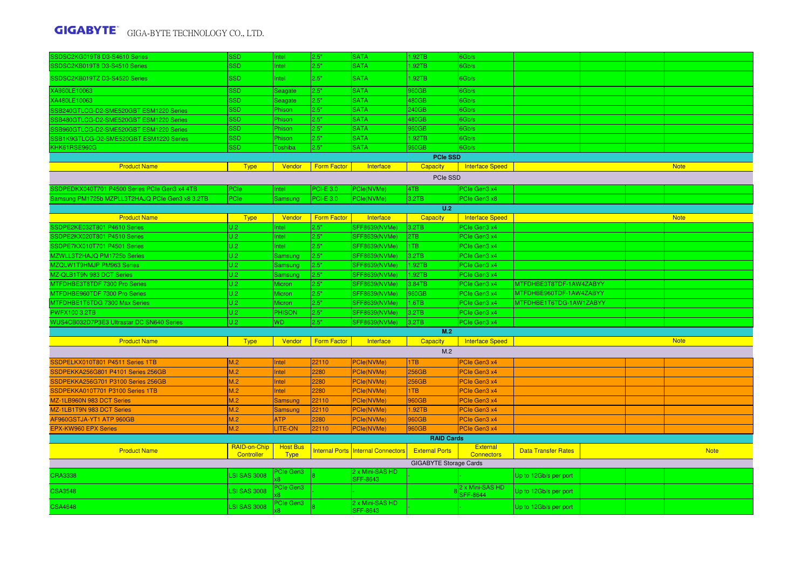| <b>SATA</b><br>SSDSC2KB019T8 D3-S4510 Series<br><b>SSD</b><br>2.5"<br>1.92TB<br>Intel<br>Gb/s<br>2.5"<br>SSD<br>Intel<br><b>SATA</b><br>1.92TB<br>6Gb/s<br><b>SATA</b><br><b>SSD</b><br>2.5"<br>960GB<br>6Gb/s<br>Seagate<br><b>SSD</b><br>2.5"<br><b>SATA</b><br>480GB<br>Gb/s<br>Seagate<br><b>SSD</b><br>2.5"<br><b>SATA</b><br>240GB<br>6Gb/s<br>Phison<br>SSB240GTLCG-D2-SME520GBT ESM1220 Series<br><b>SSD</b><br>2.5"<br><b>SATA</b><br>480GB<br>Gb/s<br>Phison<br>SSB480GTLCG-D2-SME520GBT ESM1220 Series<br><b>SSD</b><br><b>SATA</b><br>2.5"<br>960GB<br>6Gb/s<br>Phison<br>2.5"<br><b>SATA</b><br><b>SSD</b><br>1.92TB<br>6Gb/s<br>Phison<br><b>SSD</b><br>2.5"<br><b>SATA</b><br>960GB<br>6Gb/s<br>Toshiba<br><b>PCIe SSD</b><br><b>Product Name</b><br><b>Form Factor</b><br>Interface Speed<br><b>Note</b><br><b>Type</b><br>Vendor<br>Interface<br>Capacity<br>PCIe SSD<br>SDPEDKX040T701 P4500 Series PCIe Gen3 x4 4TB<br><b>PCI-E 3.0</b><br>4TB<br>PCIe<br>Intel<br>PCle(NVMe)<br>PCIe Gen3 x4<br>PCIe<br>$PCI-E$ 3.0<br>3.2TB<br>Samsung PM1725b MZPLL3T2HAJQ PCIe Gen3 x8 3.2TB<br>PCle(NVMe)<br>PCIe Gen3 x8<br>Samsung<br>U.2<br>Capacity<br><b>Note</b><br><b>Product Name</b><br><b>Type</b><br>Vendor<br><b>Form Factor</b><br>Interface<br><b>Interface Speed</b><br>SSDPE2KE032T801 P4610 Series<br>U.2<br>2.5"<br>SFF8639(NVMe)<br>PCIe Gen3 x4<br>Intel<br>3.2TB<br>U.2<br>2TB<br>SSDPE2KX020T801 P4510 Series<br>2.5"<br>Intel<br><b>SFF8639(NVMe)</b><br>PCIe Gen3 x4<br>U.2<br>SSDPE7KX010T701 P4501 Series<br>2.5"<br>PCle Gen3 x4<br>Intel<br>SFF8639(NVMe)<br>1TB<br>U.2<br>2.5"<br><b>SFF8639(NVMe)</b><br>3.2TB<br>PCIe Gen3 x4<br>Samsung<br>U.2<br>1.92TB<br>2.5"<br><b>SFF8639(NVMe)</b><br>PCIe Gen3 x4<br>Samsung<br>U.2<br>1.92TB<br>2.5"<br><b>SFF8639(NVMe)</b><br>PCIe Gen3 x4<br>Samsung<br>U.2<br>MTFDHBE3T8TDF 7300 Pro Series<br>2.5"<br>3.84TB<br><b>Micron</b><br><b>SFF8639(NVMe)</b><br>PCIe Gen3 x4<br>MTFDHBE3T8TDF-1AW4ZABYY<br>U.2<br>MTFDHBE960TDF-1AW4ZABYY<br>2.5"<br><b>SFF8639(NVMe)</b><br>960GB<br>PCIe Gen3 x4<br><b>Micron</b><br>U.2<br>2.5"<br>1.6TB<br>MTFDHBE1T6TDG-1AW1ZABYY<br><b>Micron</b><br><b>SFF8639(NVMe)</b><br>PCIe Gen3 x4<br>U.2<br>2.5"<br><b>PHISON</b><br><b>SFF8639(NVMe)</b><br>3.2TB<br>PCIe Gen3 x4<br>U.2<br>WUS4CB032D7P3E3 Ultrastar DC SN640 Series<br>2.5"<br><b>SFF8639(NVMe)</b><br>3.2TB<br>PCIe Gen3 x4<br>W <sub>D</sub><br>M.2<br><b>Note</b><br><b>Product Name</b><br><b>Type</b><br>Vendor<br><b>Form Factor</b><br>Interface<br><b>Capacity</b><br>Interface Speed<br>M.2<br>M.2<br>22110<br>PCle(NVMe)<br>1TB<br>PCIe Gen3 x4<br>Intel<br>M.2<br>256GB<br>Intel<br>2280<br>PCle(NVMe)<br>PCIe Gen3 x4<br>M.2<br>256GB<br>PCle(NVMe)<br>Intel<br>2280<br>PCIe Gen3 x4<br>M.2<br>1TB<br>Intel<br>2280<br>PCle(NVMe)<br>PCIe Gen3 x4<br>M.2<br>22110<br>960GB<br>Samsung<br>PCle(NVMe)<br>PCIe Gen3 x4<br>M.2<br>22110<br>1.92TB<br>MZ-1LB1T9N 983 DCT Series<br>Samsung<br>PCle(NVMe)<br>PCIe Gen3 x4<br>AF960GSTJA-YT1 ATP 960GB<br>M.2<br><b>ATP</b><br>2280<br>PCle(NVMe)<br>960GB<br>PCIe Gen3 x4<br>960GB<br><b>EPX-KW960 EPX Series</b><br>M.2<br>LITE-ON<br>22110<br>PCle(NVMe)<br>PCIe Gen3 x4<br><b>RAID Cards</b><br>RAID-on-Chip<br><b>Host Bus</b><br><b>External</b><br>Internal Ports   Internal Connectors<br><b>External Ports</b><br><b>Note</b><br><b>Product Name</b><br><b>Data Transfer Rates</b><br>Controller<br><b>Type</b><br><b>Connectors</b><br><b>GIGABYTE Storage Cards</b> | SSDSC2KG019T8 D3-S4610 Series           | <b>SSD</b> | Intel | 2.5" | <b>SATA</b>     | 1.92TB | 6Gb/s |  |  |
|--------------------------------------------------------------------------------------------------------------------------------------------------------------------------------------------------------------------------------------------------------------------------------------------------------------------------------------------------------------------------------------------------------------------------------------------------------------------------------------------------------------------------------------------------------------------------------------------------------------------------------------------------------------------------------------------------------------------------------------------------------------------------------------------------------------------------------------------------------------------------------------------------------------------------------------------------------------------------------------------------------------------------------------------------------------------------------------------------------------------------------------------------------------------------------------------------------------------------------------------------------------------------------------------------------------------------------------------------------------------------------------------------------------------------------------------------------------------------------------------------------------------------------------------------------------------------------------------------------------------------------------------------------------------------------------------------------------------------------------------------------------------------------------------------------------------------------------------------------------------------------------------------------------------------------------------------------------------------------------------------------------------------------------------------------------------------------------------------------------------------------------------------------------------------------------------------------------------------------------------------------------------------------------------------------------------------------------------------------------------------------------------------------------------------------------------------------------------------------------------------------------------------------------------------------------------------------------------------------------------------------------------------------------------------------------------------------------------------------------------------------------------------------------------------------------------------------------------------------------------------------------------------------------------------------------------------------------------------------------------------------------------------------------------------------------------------------------------------------------------------------------------------------------------------------------------------------------------------------------------------------------------------------------------------------------------------------------------------------------------------------------------------------------------------------------------------------------------------------------------------------------------|-----------------------------------------|------------|-------|------|-----------------|--------|-------|--|--|
|                                                                                                                                                                                                                                                                                                                                                                                                                                                                                                                                                                                                                                                                                                                                                                                                                                                                                                                                                                                                                                                                                                                                                                                                                                                                                                                                                                                                                                                                                                                                                                                                                                                                                                                                                                                                                                                                                                                                                                                                                                                                                                                                                                                                                                                                                                                                                                                                                                                                                                                                                                                                                                                                                                                                                                                                                                                                                                                                                                                                                                                                                                                                                                                                                                                                                                                                                                                                                                                                                                                    |                                         |            |       |      |                 |        |       |  |  |
|                                                                                                                                                                                                                                                                                                                                                                                                                                                                                                                                                                                                                                                                                                                                                                                                                                                                                                                                                                                                                                                                                                                                                                                                                                                                                                                                                                                                                                                                                                                                                                                                                                                                                                                                                                                                                                                                                                                                                                                                                                                                                                                                                                                                                                                                                                                                                                                                                                                                                                                                                                                                                                                                                                                                                                                                                                                                                                                                                                                                                                                                                                                                                                                                                                                                                                                                                                                                                                                                                                                    | SSDSC2KB019TZ D3-S4520 Series           |            |       |      |                 |        |       |  |  |
|                                                                                                                                                                                                                                                                                                                                                                                                                                                                                                                                                                                                                                                                                                                                                                                                                                                                                                                                                                                                                                                                                                                                                                                                                                                                                                                                                                                                                                                                                                                                                                                                                                                                                                                                                                                                                                                                                                                                                                                                                                                                                                                                                                                                                                                                                                                                                                                                                                                                                                                                                                                                                                                                                                                                                                                                                                                                                                                                                                                                                                                                                                                                                                                                                                                                                                                                                                                                                                                                                                                    | XA960LE10063                            |            |       |      |                 |        |       |  |  |
|                                                                                                                                                                                                                                                                                                                                                                                                                                                                                                                                                                                                                                                                                                                                                                                                                                                                                                                                                                                                                                                                                                                                                                                                                                                                                                                                                                                                                                                                                                                                                                                                                                                                                                                                                                                                                                                                                                                                                                                                                                                                                                                                                                                                                                                                                                                                                                                                                                                                                                                                                                                                                                                                                                                                                                                                                                                                                                                                                                                                                                                                                                                                                                                                                                                                                                                                                                                                                                                                                                                    | XA480LE10063                            |            |       |      |                 |        |       |  |  |
|                                                                                                                                                                                                                                                                                                                                                                                                                                                                                                                                                                                                                                                                                                                                                                                                                                                                                                                                                                                                                                                                                                                                                                                                                                                                                                                                                                                                                                                                                                                                                                                                                                                                                                                                                                                                                                                                                                                                                                                                                                                                                                                                                                                                                                                                                                                                                                                                                                                                                                                                                                                                                                                                                                                                                                                                                                                                                                                                                                                                                                                                                                                                                                                                                                                                                                                                                                                                                                                                                                                    |                                         |            |       |      |                 |        |       |  |  |
|                                                                                                                                                                                                                                                                                                                                                                                                                                                                                                                                                                                                                                                                                                                                                                                                                                                                                                                                                                                                                                                                                                                                                                                                                                                                                                                                                                                                                                                                                                                                                                                                                                                                                                                                                                                                                                                                                                                                                                                                                                                                                                                                                                                                                                                                                                                                                                                                                                                                                                                                                                                                                                                                                                                                                                                                                                                                                                                                                                                                                                                                                                                                                                                                                                                                                                                                                                                                                                                                                                                    |                                         |            |       |      |                 |        |       |  |  |
|                                                                                                                                                                                                                                                                                                                                                                                                                                                                                                                                                                                                                                                                                                                                                                                                                                                                                                                                                                                                                                                                                                                                                                                                                                                                                                                                                                                                                                                                                                                                                                                                                                                                                                                                                                                                                                                                                                                                                                                                                                                                                                                                                                                                                                                                                                                                                                                                                                                                                                                                                                                                                                                                                                                                                                                                                                                                                                                                                                                                                                                                                                                                                                                                                                                                                                                                                                                                                                                                                                                    | SSB960GTLCG-D2-SME520GBT ESM1220 Series |            |       |      |                 |        |       |  |  |
|                                                                                                                                                                                                                                                                                                                                                                                                                                                                                                                                                                                                                                                                                                                                                                                                                                                                                                                                                                                                                                                                                                                                                                                                                                                                                                                                                                                                                                                                                                                                                                                                                                                                                                                                                                                                                                                                                                                                                                                                                                                                                                                                                                                                                                                                                                                                                                                                                                                                                                                                                                                                                                                                                                                                                                                                                                                                                                                                                                                                                                                                                                                                                                                                                                                                                                                                                                                                                                                                                                                    | SSB1K9GTLCG-D2-SME520GBT ESM1220 Series |            |       |      |                 |        |       |  |  |
|                                                                                                                                                                                                                                                                                                                                                                                                                                                                                                                                                                                                                                                                                                                                                                                                                                                                                                                                                                                                                                                                                                                                                                                                                                                                                                                                                                                                                                                                                                                                                                                                                                                                                                                                                                                                                                                                                                                                                                                                                                                                                                                                                                                                                                                                                                                                                                                                                                                                                                                                                                                                                                                                                                                                                                                                                                                                                                                                                                                                                                                                                                                                                                                                                                                                                                                                                                                                                                                                                                                    | KHK61RSE960G                            |            |       |      |                 |        |       |  |  |
|                                                                                                                                                                                                                                                                                                                                                                                                                                                                                                                                                                                                                                                                                                                                                                                                                                                                                                                                                                                                                                                                                                                                                                                                                                                                                                                                                                                                                                                                                                                                                                                                                                                                                                                                                                                                                                                                                                                                                                                                                                                                                                                                                                                                                                                                                                                                                                                                                                                                                                                                                                                                                                                                                                                                                                                                                                                                                                                                                                                                                                                                                                                                                                                                                                                                                                                                                                                                                                                                                                                    |                                         |            |       |      |                 |        |       |  |  |
|                                                                                                                                                                                                                                                                                                                                                                                                                                                                                                                                                                                                                                                                                                                                                                                                                                                                                                                                                                                                                                                                                                                                                                                                                                                                                                                                                                                                                                                                                                                                                                                                                                                                                                                                                                                                                                                                                                                                                                                                                                                                                                                                                                                                                                                                                                                                                                                                                                                                                                                                                                                                                                                                                                                                                                                                                                                                                                                                                                                                                                                                                                                                                                                                                                                                                                                                                                                                                                                                                                                    |                                         |            |       |      |                 |        |       |  |  |
|                                                                                                                                                                                                                                                                                                                                                                                                                                                                                                                                                                                                                                                                                                                                                                                                                                                                                                                                                                                                                                                                                                                                                                                                                                                                                                                                                                                                                                                                                                                                                                                                                                                                                                                                                                                                                                                                                                                                                                                                                                                                                                                                                                                                                                                                                                                                                                                                                                                                                                                                                                                                                                                                                                                                                                                                                                                                                                                                                                                                                                                                                                                                                                                                                                                                                                                                                                                                                                                                                                                    |                                         |            |       |      |                 |        |       |  |  |
|                                                                                                                                                                                                                                                                                                                                                                                                                                                                                                                                                                                                                                                                                                                                                                                                                                                                                                                                                                                                                                                                                                                                                                                                                                                                                                                                                                                                                                                                                                                                                                                                                                                                                                                                                                                                                                                                                                                                                                                                                                                                                                                                                                                                                                                                                                                                                                                                                                                                                                                                                                                                                                                                                                                                                                                                                                                                                                                                                                                                                                                                                                                                                                                                                                                                                                                                                                                                                                                                                                                    |                                         |            |       |      |                 |        |       |  |  |
|                                                                                                                                                                                                                                                                                                                                                                                                                                                                                                                                                                                                                                                                                                                                                                                                                                                                                                                                                                                                                                                                                                                                                                                                                                                                                                                                                                                                                                                                                                                                                                                                                                                                                                                                                                                                                                                                                                                                                                                                                                                                                                                                                                                                                                                                                                                                                                                                                                                                                                                                                                                                                                                                                                                                                                                                                                                                                                                                                                                                                                                                                                                                                                                                                                                                                                                                                                                                                                                                                                                    |                                         |            |       |      |                 |        |       |  |  |
|                                                                                                                                                                                                                                                                                                                                                                                                                                                                                                                                                                                                                                                                                                                                                                                                                                                                                                                                                                                                                                                                                                                                                                                                                                                                                                                                                                                                                                                                                                                                                                                                                                                                                                                                                                                                                                                                                                                                                                                                                                                                                                                                                                                                                                                                                                                                                                                                                                                                                                                                                                                                                                                                                                                                                                                                                                                                                                                                                                                                                                                                                                                                                                                                                                                                                                                                                                                                                                                                                                                    |                                         |            |       |      |                 |        |       |  |  |
|                                                                                                                                                                                                                                                                                                                                                                                                                                                                                                                                                                                                                                                                                                                                                                                                                                                                                                                                                                                                                                                                                                                                                                                                                                                                                                                                                                                                                                                                                                                                                                                                                                                                                                                                                                                                                                                                                                                                                                                                                                                                                                                                                                                                                                                                                                                                                                                                                                                                                                                                                                                                                                                                                                                                                                                                                                                                                                                                                                                                                                                                                                                                                                                                                                                                                                                                                                                                                                                                                                                    |                                         |            |       |      |                 |        |       |  |  |
|                                                                                                                                                                                                                                                                                                                                                                                                                                                                                                                                                                                                                                                                                                                                                                                                                                                                                                                                                                                                                                                                                                                                                                                                                                                                                                                                                                                                                                                                                                                                                                                                                                                                                                                                                                                                                                                                                                                                                                                                                                                                                                                                                                                                                                                                                                                                                                                                                                                                                                                                                                                                                                                                                                                                                                                                                                                                                                                                                                                                                                                                                                                                                                                                                                                                                                                                                                                                                                                                                                                    |                                         |            |       |      |                 |        |       |  |  |
|                                                                                                                                                                                                                                                                                                                                                                                                                                                                                                                                                                                                                                                                                                                                                                                                                                                                                                                                                                                                                                                                                                                                                                                                                                                                                                                                                                                                                                                                                                                                                                                                                                                                                                                                                                                                                                                                                                                                                                                                                                                                                                                                                                                                                                                                                                                                                                                                                                                                                                                                                                                                                                                                                                                                                                                                                                                                                                                                                                                                                                                                                                                                                                                                                                                                                                                                                                                                                                                                                                                    |                                         |            |       |      |                 |        |       |  |  |
|                                                                                                                                                                                                                                                                                                                                                                                                                                                                                                                                                                                                                                                                                                                                                                                                                                                                                                                                                                                                                                                                                                                                                                                                                                                                                                                                                                                                                                                                                                                                                                                                                                                                                                                                                                                                                                                                                                                                                                                                                                                                                                                                                                                                                                                                                                                                                                                                                                                                                                                                                                                                                                                                                                                                                                                                                                                                                                                                                                                                                                                                                                                                                                                                                                                                                                                                                                                                                                                                                                                    |                                         |            |       |      |                 |        |       |  |  |
|                                                                                                                                                                                                                                                                                                                                                                                                                                                                                                                                                                                                                                                                                                                                                                                                                                                                                                                                                                                                                                                                                                                                                                                                                                                                                                                                                                                                                                                                                                                                                                                                                                                                                                                                                                                                                                                                                                                                                                                                                                                                                                                                                                                                                                                                                                                                                                                                                                                                                                                                                                                                                                                                                                                                                                                                                                                                                                                                                                                                                                                                                                                                                                                                                                                                                                                                                                                                                                                                                                                    | MZWLL3T2HAJQ PM1725b Series             |            |       |      |                 |        |       |  |  |
|                                                                                                                                                                                                                                                                                                                                                                                                                                                                                                                                                                                                                                                                                                                                                                                                                                                                                                                                                                                                                                                                                                                                                                                                                                                                                                                                                                                                                                                                                                                                                                                                                                                                                                                                                                                                                                                                                                                                                                                                                                                                                                                                                                                                                                                                                                                                                                                                                                                                                                                                                                                                                                                                                                                                                                                                                                                                                                                                                                                                                                                                                                                                                                                                                                                                                                                                                                                                                                                                                                                    | MZQLW1T9HMJP PM963 Series               |            |       |      |                 |        |       |  |  |
|                                                                                                                                                                                                                                                                                                                                                                                                                                                                                                                                                                                                                                                                                                                                                                                                                                                                                                                                                                                                                                                                                                                                                                                                                                                                                                                                                                                                                                                                                                                                                                                                                                                                                                                                                                                                                                                                                                                                                                                                                                                                                                                                                                                                                                                                                                                                                                                                                                                                                                                                                                                                                                                                                                                                                                                                                                                                                                                                                                                                                                                                                                                                                                                                                                                                                                                                                                                                                                                                                                                    | MZ-QLB1T9N 983 DCT Series               |            |       |      |                 |        |       |  |  |
|                                                                                                                                                                                                                                                                                                                                                                                                                                                                                                                                                                                                                                                                                                                                                                                                                                                                                                                                                                                                                                                                                                                                                                                                                                                                                                                                                                                                                                                                                                                                                                                                                                                                                                                                                                                                                                                                                                                                                                                                                                                                                                                                                                                                                                                                                                                                                                                                                                                                                                                                                                                                                                                                                                                                                                                                                                                                                                                                                                                                                                                                                                                                                                                                                                                                                                                                                                                                                                                                                                                    |                                         |            |       |      |                 |        |       |  |  |
|                                                                                                                                                                                                                                                                                                                                                                                                                                                                                                                                                                                                                                                                                                                                                                                                                                                                                                                                                                                                                                                                                                                                                                                                                                                                                                                                                                                                                                                                                                                                                                                                                                                                                                                                                                                                                                                                                                                                                                                                                                                                                                                                                                                                                                                                                                                                                                                                                                                                                                                                                                                                                                                                                                                                                                                                                                                                                                                                                                                                                                                                                                                                                                                                                                                                                                                                                                                                                                                                                                                    | MTFDHBE960TDF 7300 Pro Series           |            |       |      |                 |        |       |  |  |
|                                                                                                                                                                                                                                                                                                                                                                                                                                                                                                                                                                                                                                                                                                                                                                                                                                                                                                                                                                                                                                                                                                                                                                                                                                                                                                                                                                                                                                                                                                                                                                                                                                                                                                                                                                                                                                                                                                                                                                                                                                                                                                                                                                                                                                                                                                                                                                                                                                                                                                                                                                                                                                                                                                                                                                                                                                                                                                                                                                                                                                                                                                                                                                                                                                                                                                                                                                                                                                                                                                                    | MTFDHBE1T6TDG 7300 Max Series           |            |       |      |                 |        |       |  |  |
|                                                                                                                                                                                                                                                                                                                                                                                                                                                                                                                                                                                                                                                                                                                                                                                                                                                                                                                                                                                                                                                                                                                                                                                                                                                                                                                                                                                                                                                                                                                                                                                                                                                                                                                                                                                                                                                                                                                                                                                                                                                                                                                                                                                                                                                                                                                                                                                                                                                                                                                                                                                                                                                                                                                                                                                                                                                                                                                                                                                                                                                                                                                                                                                                                                                                                                                                                                                                                                                                                                                    | <b>PWFX100 3.2TB</b>                    |            |       |      |                 |        |       |  |  |
|                                                                                                                                                                                                                                                                                                                                                                                                                                                                                                                                                                                                                                                                                                                                                                                                                                                                                                                                                                                                                                                                                                                                                                                                                                                                                                                                                                                                                                                                                                                                                                                                                                                                                                                                                                                                                                                                                                                                                                                                                                                                                                                                                                                                                                                                                                                                                                                                                                                                                                                                                                                                                                                                                                                                                                                                                                                                                                                                                                                                                                                                                                                                                                                                                                                                                                                                                                                                                                                                                                                    |                                         |            |       |      |                 |        |       |  |  |
|                                                                                                                                                                                                                                                                                                                                                                                                                                                                                                                                                                                                                                                                                                                                                                                                                                                                                                                                                                                                                                                                                                                                                                                                                                                                                                                                                                                                                                                                                                                                                                                                                                                                                                                                                                                                                                                                                                                                                                                                                                                                                                                                                                                                                                                                                                                                                                                                                                                                                                                                                                                                                                                                                                                                                                                                                                                                                                                                                                                                                                                                                                                                                                                                                                                                                                                                                                                                                                                                                                                    |                                         |            |       |      |                 |        |       |  |  |
|                                                                                                                                                                                                                                                                                                                                                                                                                                                                                                                                                                                                                                                                                                                                                                                                                                                                                                                                                                                                                                                                                                                                                                                                                                                                                                                                                                                                                                                                                                                                                                                                                                                                                                                                                                                                                                                                                                                                                                                                                                                                                                                                                                                                                                                                                                                                                                                                                                                                                                                                                                                                                                                                                                                                                                                                                                                                                                                                                                                                                                                                                                                                                                                                                                                                                                                                                                                                                                                                                                                    |                                         |            |       |      |                 |        |       |  |  |
|                                                                                                                                                                                                                                                                                                                                                                                                                                                                                                                                                                                                                                                                                                                                                                                                                                                                                                                                                                                                                                                                                                                                                                                                                                                                                                                                                                                                                                                                                                                                                                                                                                                                                                                                                                                                                                                                                                                                                                                                                                                                                                                                                                                                                                                                                                                                                                                                                                                                                                                                                                                                                                                                                                                                                                                                                                                                                                                                                                                                                                                                                                                                                                                                                                                                                                                                                                                                                                                                                                                    |                                         |            |       |      |                 |        |       |  |  |
|                                                                                                                                                                                                                                                                                                                                                                                                                                                                                                                                                                                                                                                                                                                                                                                                                                                                                                                                                                                                                                                                                                                                                                                                                                                                                                                                                                                                                                                                                                                                                                                                                                                                                                                                                                                                                                                                                                                                                                                                                                                                                                                                                                                                                                                                                                                                                                                                                                                                                                                                                                                                                                                                                                                                                                                                                                                                                                                                                                                                                                                                                                                                                                                                                                                                                                                                                                                                                                                                                                                    | SSDPELKX010T801 P4511 Series 1TB        |            |       |      |                 |        |       |  |  |
|                                                                                                                                                                                                                                                                                                                                                                                                                                                                                                                                                                                                                                                                                                                                                                                                                                                                                                                                                                                                                                                                                                                                                                                                                                                                                                                                                                                                                                                                                                                                                                                                                                                                                                                                                                                                                                                                                                                                                                                                                                                                                                                                                                                                                                                                                                                                                                                                                                                                                                                                                                                                                                                                                                                                                                                                                                                                                                                                                                                                                                                                                                                                                                                                                                                                                                                                                                                                                                                                                                                    | SSDPEKKA256G801 P4101 Series 256GB      |            |       |      |                 |        |       |  |  |
|                                                                                                                                                                                                                                                                                                                                                                                                                                                                                                                                                                                                                                                                                                                                                                                                                                                                                                                                                                                                                                                                                                                                                                                                                                                                                                                                                                                                                                                                                                                                                                                                                                                                                                                                                                                                                                                                                                                                                                                                                                                                                                                                                                                                                                                                                                                                                                                                                                                                                                                                                                                                                                                                                                                                                                                                                                                                                                                                                                                                                                                                                                                                                                                                                                                                                                                                                                                                                                                                                                                    | SSDPEKKA256G701 P3100 Series 256GB      |            |       |      |                 |        |       |  |  |
|                                                                                                                                                                                                                                                                                                                                                                                                                                                                                                                                                                                                                                                                                                                                                                                                                                                                                                                                                                                                                                                                                                                                                                                                                                                                                                                                                                                                                                                                                                                                                                                                                                                                                                                                                                                                                                                                                                                                                                                                                                                                                                                                                                                                                                                                                                                                                                                                                                                                                                                                                                                                                                                                                                                                                                                                                                                                                                                                                                                                                                                                                                                                                                                                                                                                                                                                                                                                                                                                                                                    | SSDPEKKA010T701 P3100 Series 1TB        |            |       |      |                 |        |       |  |  |
|                                                                                                                                                                                                                                                                                                                                                                                                                                                                                                                                                                                                                                                                                                                                                                                                                                                                                                                                                                                                                                                                                                                                                                                                                                                                                                                                                                                                                                                                                                                                                                                                                                                                                                                                                                                                                                                                                                                                                                                                                                                                                                                                                                                                                                                                                                                                                                                                                                                                                                                                                                                                                                                                                                                                                                                                                                                                                                                                                                                                                                                                                                                                                                                                                                                                                                                                                                                                                                                                                                                    | MZ-1LB960N 983 DCT Series               |            |       |      |                 |        |       |  |  |
|                                                                                                                                                                                                                                                                                                                                                                                                                                                                                                                                                                                                                                                                                                                                                                                                                                                                                                                                                                                                                                                                                                                                                                                                                                                                                                                                                                                                                                                                                                                                                                                                                                                                                                                                                                                                                                                                                                                                                                                                                                                                                                                                                                                                                                                                                                                                                                                                                                                                                                                                                                                                                                                                                                                                                                                                                                                                                                                                                                                                                                                                                                                                                                                                                                                                                                                                                                                                                                                                                                                    |                                         |            |       |      |                 |        |       |  |  |
|                                                                                                                                                                                                                                                                                                                                                                                                                                                                                                                                                                                                                                                                                                                                                                                                                                                                                                                                                                                                                                                                                                                                                                                                                                                                                                                                                                                                                                                                                                                                                                                                                                                                                                                                                                                                                                                                                                                                                                                                                                                                                                                                                                                                                                                                                                                                                                                                                                                                                                                                                                                                                                                                                                                                                                                                                                                                                                                                                                                                                                                                                                                                                                                                                                                                                                                                                                                                                                                                                                                    |                                         |            |       |      |                 |        |       |  |  |
|                                                                                                                                                                                                                                                                                                                                                                                                                                                                                                                                                                                                                                                                                                                                                                                                                                                                                                                                                                                                                                                                                                                                                                                                                                                                                                                                                                                                                                                                                                                                                                                                                                                                                                                                                                                                                                                                                                                                                                                                                                                                                                                                                                                                                                                                                                                                                                                                                                                                                                                                                                                                                                                                                                                                                                                                                                                                                                                                                                                                                                                                                                                                                                                                                                                                                                                                                                                                                                                                                                                    |                                         |            |       |      |                 |        |       |  |  |
|                                                                                                                                                                                                                                                                                                                                                                                                                                                                                                                                                                                                                                                                                                                                                                                                                                                                                                                                                                                                                                                                                                                                                                                                                                                                                                                                                                                                                                                                                                                                                                                                                                                                                                                                                                                                                                                                                                                                                                                                                                                                                                                                                                                                                                                                                                                                                                                                                                                                                                                                                                                                                                                                                                                                                                                                                                                                                                                                                                                                                                                                                                                                                                                                                                                                                                                                                                                                                                                                                                                    |                                         |            |       |      |                 |        |       |  |  |
|                                                                                                                                                                                                                                                                                                                                                                                                                                                                                                                                                                                                                                                                                                                                                                                                                                                                                                                                                                                                                                                                                                                                                                                                                                                                                                                                                                                                                                                                                                                                                                                                                                                                                                                                                                                                                                                                                                                                                                                                                                                                                                                                                                                                                                                                                                                                                                                                                                                                                                                                                                                                                                                                                                                                                                                                                                                                                                                                                                                                                                                                                                                                                                                                                                                                                                                                                                                                                                                                                                                    |                                         |            |       |      |                 |        |       |  |  |
|                                                                                                                                                                                                                                                                                                                                                                                                                                                                                                                                                                                                                                                                                                                                                                                                                                                                                                                                                                                                                                                                                                                                                                                                                                                                                                                                                                                                                                                                                                                                                                                                                                                                                                                                                                                                                                                                                                                                                                                                                                                                                                                                                                                                                                                                                                                                                                                                                                                                                                                                                                                                                                                                                                                                                                                                                                                                                                                                                                                                                                                                                                                                                                                                                                                                                                                                                                                                                                                                                                                    |                                         |            |       |      |                 |        |       |  |  |
| 2 x Mini-SAS HD<br>PCIe Gen3<br><b>LSI SAS 3008</b><br>CRA3338<br>Up to 12Gb/s per port<br><b>SFF-8643</b>                                                                                                                                                                                                                                                                                                                                                                                                                                                                                                                                                                                                                                                                                                                                                                                                                                                                                                                                                                                                                                                                                                                                                                                                                                                                                                                                                                                                                                                                                                                                                                                                                                                                                                                                                                                                                                                                                                                                                                                                                                                                                                                                                                                                                                                                                                                                                                                                                                                                                                                                                                                                                                                                                                                                                                                                                                                                                                                                                                                                                                                                                                                                                                                                                                                                                                                                                                                                         |                                         |            |       |      |                 |        |       |  |  |
| 2 x Mini-SAS HD<br>PCIe Gen3<br><b>LSI SAS 3008</b><br>Up to 12Gb/s per port<br>SFF-8644                                                                                                                                                                                                                                                                                                                                                                                                                                                                                                                                                                                                                                                                                                                                                                                                                                                                                                                                                                                                                                                                                                                                                                                                                                                                                                                                                                                                                                                                                                                                                                                                                                                                                                                                                                                                                                                                                                                                                                                                                                                                                                                                                                                                                                                                                                                                                                                                                                                                                                                                                                                                                                                                                                                                                                                                                                                                                                                                                                                                                                                                                                                                                                                                                                                                                                                                                                                                                           | <b>CSA3548</b>                          |            |       |      |                 |        |       |  |  |
| 2 x Mini-SAS HD<br>PCIe Gen3<br><b>LSI SAS 3008</b><br>Up to 12Gb/s per port                                                                                                                                                                                                                                                                                                                                                                                                                                                                                                                                                                                                                                                                                                                                                                                                                                                                                                                                                                                                                                                                                                                                                                                                                                                                                                                                                                                                                                                                                                                                                                                                                                                                                                                                                                                                                                                                                                                                                                                                                                                                                                                                                                                                                                                                                                                                                                                                                                                                                                                                                                                                                                                                                                                                                                                                                                                                                                                                                                                                                                                                                                                                                                                                                                                                                                                                                                                                                                       | <b>CSA4648</b>                          |            |       |      | <b>SFF-8643</b> |        |       |  |  |
|                                                                                                                                                                                                                                                                                                                                                                                                                                                                                                                                                                                                                                                                                                                                                                                                                                                                                                                                                                                                                                                                                                                                                                                                                                                                                                                                                                                                                                                                                                                                                                                                                                                                                                                                                                                                                                                                                                                                                                                                                                                                                                                                                                                                                                                                                                                                                                                                                                                                                                                                                                                                                                                                                                                                                                                                                                                                                                                                                                                                                                                                                                                                                                                                                                                                                                                                                                                                                                                                                                                    |                                         |            |       |      |                 |        |       |  |  |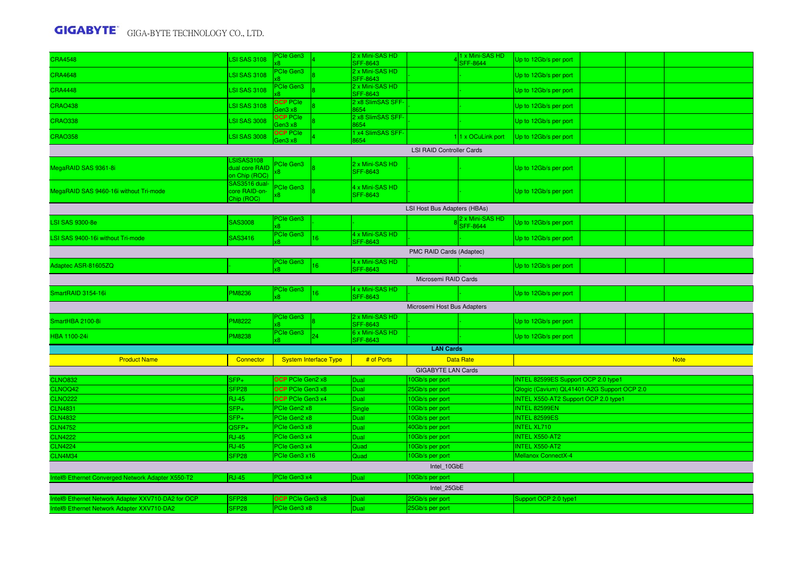| <b>CRA4548</b>                                     | <b>LSI SAS 3108</b>                           | <b>PCIe Gen3</b>             |                              | 2 x Mini-SAS HD<br>SFF-8643        |                                    | 1 x Mini-SAS HD<br><b>SFF-8644</b> | Up to 12Gb/s per port                       |  |             |
|----------------------------------------------------|-----------------------------------------------|------------------------------|------------------------------|------------------------------------|------------------------------------|------------------------------------|---------------------------------------------|--|-------------|
| <b>CRA4648</b>                                     | <b>LSI SAS 3108</b>                           | <b>Cle Gen3</b>              |                              | 2 x Mini-SAS HD<br>SFF-8643        |                                    |                                    | Up to 12Gb/s per port                       |  |             |
| <b>CRA4448</b>                                     | <b>LSI SAS 3108</b>                           | <b>PCIe Gen3</b>             |                              | 2 x Mini-SAS HD<br><b>SFF-8643</b> |                                    |                                    | Up to 12Gb/s per port                       |  |             |
| <b>CRAO438</b>                                     | <b>LSI SAS 3108</b>                           | <b>OCP PCIe</b><br>en3 x8    |                              | 2 x8 SlimSAS SFF-<br>8654          |                                    |                                    | Up to 12Gb/s per port                       |  |             |
| <b>CRAO338</b>                                     | <b>LSI SAS 3008</b>                           | <b>OCP</b> PCIe<br>aen3 x8   |                              | 2 x8 SlimSAS SFF-<br>8654          |                                    |                                    | Up to 12Gb/s per port                       |  |             |
| <b>CRAO358</b>                                     | <b>LSI SAS 3008</b>                           | <b>OCP PCIe</b><br>aen3 x8   |                              | 1 x4 SlimSAS SFF-<br>8654          |                                    | 11 x OCuLink port                  | Up to 12Gb/s per port                       |  |             |
|                                                    |                                               |                              |                              |                                    | <b>LSI RAID Controller Cards</b>   |                                    |                                             |  |             |
| MegaRAID SAS 9361-8i                               | LSISAS3108<br>dual core RAID<br>on Chip (ROC) | <sup>2</sup> Cle Gen3<br>8   |                              | 2 x Mini-SAS HD<br><b>SFF-8643</b> |                                    |                                    | Up to 12Gb/s per port                       |  |             |
| MegaRAID SAS 9460-16i without Tri-mode             | SAS3516 dual-<br>core RAID-on-<br>Chip (ROC)  | PCIe Gen3<br>x8.             |                              | 4 x Mini-SAS HD<br><b>SFF-8643</b> |                                    |                                    | Up to 12Gb/s per port                       |  |             |
|                                                    |                                               |                              |                              |                                    | LSI Host Bus Adapters (HBAs)       |                                    |                                             |  |             |
| <b>LSI SAS 9300-8e</b>                             | SAS3008                                       | PCIe Gen3<br>ά8              |                              |                                    |                                    | 2 x Mini-SAS HD<br><b>SFF-8644</b> | Up to 12Gb/s per port                       |  |             |
| LSI SAS 9400-16i without Tri-mode                  | SAS3416                                       | PCIe Gen3                    | 16                           | 4 x Mini-SAS HD<br>SFF-8643        |                                    |                                    | Up to 12Gb/s per port                       |  |             |
|                                                    |                                               |                              |                              |                                    | PMC RAID Cards (Adaptec)           |                                    |                                             |  |             |
| Adaptec ASR-81605ZQ                                |                                               | <b>PCIe Gen3</b>             | 6                            | 4 x Mini-SAS HD<br>SFF-8643        |                                    |                                    | Up to 12Gb/s per port                       |  |             |
|                                                    |                                               |                              |                              |                                    | Microsemi RAID Cards               |                                    |                                             |  |             |
| SmartRAID 3154-16i                                 | <b>PM8236</b>                                 | PCIe Gen3<br>8               | 6 <sup>1</sup>               | 4 x Mini-SAS HD<br><b>SFF-8643</b> |                                    |                                    | Up to 12Gb/s per port                       |  |             |
|                                                    |                                               |                              |                              |                                    | Microsemi Host Bus Adapters        |                                    |                                             |  |             |
| SmartHBA 2100-8i                                   | PM8222                                        | PCIe Gen3                    |                              | 2 x Mini-SAS HD<br><b>SFF-8643</b> |                                    |                                    | Up to 12Gb/s per port                       |  |             |
| HBA 1100-24i                                       | PM8238                                        | PCIe Gen3                    | 24                           | 6 x Mini-SAS HD<br><b>SFF-8643</b> |                                    |                                    | Up to 12Gb/s per port                       |  |             |
|                                                    |                                               |                              |                              |                                    |                                    |                                    |                                             |  |             |
|                                                    |                                               |                              |                              |                                    | <b>LAN Cards</b>                   |                                    |                                             |  |             |
| <b>Product Name</b>                                | Connector                                     |                              | <b>System Interface Type</b> | # of Ports                         |                                    | <b>Data Rate</b>                   |                                             |  | <b>Note</b> |
|                                                    |                                               |                              |                              |                                    | <b>GIGABYTE LAN Cards</b>          |                                    |                                             |  |             |
| <b>CLNO832</b>                                     | $SFP+$                                        | <b>OCP</b> PCIe Gen2 x8      |                              | Dual                               | 10Gb/s per port                    |                                    | INTEL 82599ES Support OCP 2.0 type1         |  |             |
| CLNOQ42                                            | SFP <sub>28</sub>                             | OCP PCIe Gen3 x8             |                              | Dual                               | 25Gb/s per port                    |                                    | Qlogic (Cavium) QL41401-A2G Support OCP 2.0 |  |             |
| <b>CLNO222</b>                                     | <b>RJ-45</b>                                  | <b>OCP</b> PCIe Gen3 x4      |                              | <b>Dual</b>                        | 10Gb/s per port                    |                                    | INTEL X550-AT2 Support OCP 2.0 type1        |  |             |
| <b>CLN4831</b><br><b>CLN4832</b>                   | $SFP+$<br>SFP+                                | PCIe Gen2 x8<br>PCIe Gen2 x8 |                              | Single<br>Dual                     | 10Gb/s per port<br>10Gb/s per port |                                    | INTEL 82599EN<br>INTEL 82599ES              |  |             |
| <b>CLN4752</b>                                     | QSFP+                                         | PCIe Gen3 x8                 |                              | Dual                               | 40Gb/s per port                    |                                    | <b>INTEL XL710</b>                          |  |             |
| <b>CLN4222</b>                                     | <b>RJ-45</b>                                  | PCIe Gen3 x4                 |                              | Dual                               | 10Gb/s per port                    |                                    | <b>INTEL X550-AT2</b>                       |  |             |
| <b>CLN4224</b>                                     | <b>RJ-45</b>                                  | PCIe Gen3 x4                 |                              | Quad                               | 10Gb/s per port                    |                                    | <b>INTEL X550-AT2</b>                       |  |             |
| CLN4M34                                            | SFP <sub>28</sub>                             | PCIe Gen3 x16                |                              | Quad                               | 10Gb/s per port                    |                                    | Mellanox ConnectX-4                         |  |             |
|                                                    |                                               |                              |                              |                                    | Intel 10GbE                        |                                    |                                             |  |             |
| Intel® Ethernet Converged Network Adapter X550-T2  | <b>RJ-45</b>                                  | PCIe Gen3 x4                 |                              | Dual                               | 10Gb/s per port                    |                                    |                                             |  |             |
|                                                    |                                               |                              |                              |                                    | Intel 25GbE                        |                                    |                                             |  |             |
| Intel® Ethernet Network Adapter XXV710-DA2 for OCP | SFP <sub>28</sub>                             | OCP PCIe Gen3 x8             |                              | Dual                               | 25Gb/s per port                    |                                    | Support OCP 2.0 type1                       |  |             |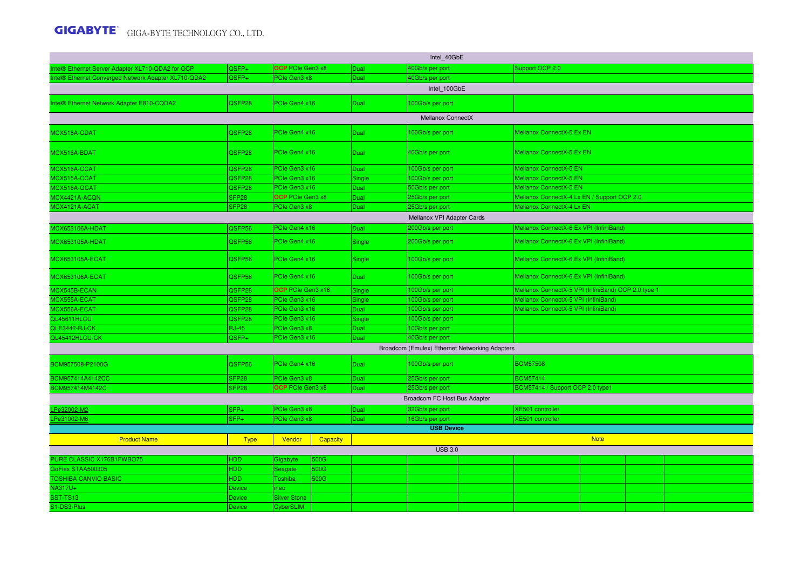|                                                      |                   |                         |          |             | Intel 40GbE                  |                                                |                                                     |             |  |
|------------------------------------------------------|-------------------|-------------------------|----------|-------------|------------------------------|------------------------------------------------|-----------------------------------------------------|-------------|--|
| Intel® Ethernet Server Adapter XL710-QDA2 for OCP    | $QSFP+$           | <b>OCP</b> PCIe Gen3 x8 |          | Dual        | 40Gb/s per port              |                                                | Support OCP 2.0                                     |             |  |
| Intel® Ethernet Converged Network Adapter XL710-QDA2 | $QSFP+$           | PCIe Gen3 x8            |          | Dual        | 40Gb/s per port              |                                                |                                                     |             |  |
|                                                      |                   |                         |          |             | Intel 100GbE                 |                                                |                                                     |             |  |
| Intel® Ethernet Network Adapter E810-CQDA2           | QSFP28            | PCIe Gen4 x16           |          | <b>Dual</b> | 100Gb/s per port             |                                                |                                                     |             |  |
|                                                      |                   |                         |          |             | Mellanox ConnectX            |                                                |                                                     |             |  |
| MCX516A-CDAT                                         | QSFP28            | PCIe Gen4 x16           |          | <b>Dual</b> | 100Gb/s per port             |                                                | Mellanox ConnectX-5 Ex EN                           |             |  |
| MCX516A-BDAT                                         | QSFP28            | PCIe Gen4 x16           |          | <b>Dual</b> | 40Gb/s per port              |                                                | Mellanox ConnectX-5 Ex EN                           |             |  |
| MCX516A-CCAT                                         | QSFP28            | PCIe Gen3 x16           |          | <b>Dual</b> | 100Gb/s per port             |                                                | Mellanox ConnectX-5 EN                              |             |  |
| MCX515A-CCAT                                         | QSFP28            | PCIe Gen3 x16           |          | Single      | 100Gb/s per port             |                                                | Mellanox ConnectX-5 EN                              |             |  |
| MCX516A-GCAT                                         | QSFP28            | PCIe Gen3 x16           |          | <b>Dual</b> | 50Gb/s per port              |                                                | Mellanox ConnectX-5 EN                              |             |  |
| MCX4421A-ACQN                                        | SFP <sub>28</sub> | <b>OCP</b> PCIe Gen3 x8 |          | Dual        | 25Gb/s per port              |                                                | Mellanox ConnectX-4 Lx EN / Support OCP 2.0         |             |  |
| MCX4121A-ACAT                                        | SFP <sub>28</sub> | PCIe Gen3 x8            |          | Dual        | 25Gb/s per port              |                                                | Mellanox ConnectX-4 Lx EN                           |             |  |
|                                                      |                   |                         |          |             | Mellanox VPI Adapter Cards   |                                                |                                                     |             |  |
| MCX653106A-HDAT                                      | QSFP56            | PCIe Gen4 x16           |          | Dual        | 200Gb/s per port             |                                                | Mellanox ConnectX-6 Ex VPI (InfiniBand)             |             |  |
| <b>MCX653105A-HDAT</b>                               | QSFP56            | PCIe Gen4 x16           |          | Single      | 200Gb/s per port             |                                                | Mellanox ConnectX-6 Ex VPI (InfiniBand)             |             |  |
| <b>MCX653105A-ECAT</b>                               | QSFP56            | PCIe Gen4 x16           |          | Single      | 100Gb/s per port             |                                                | Mellanox ConnectX-6 Ex VPI (InfiniBand)             |             |  |
| <b>MCX653106A-ECAT</b>                               | QSFP56            | PCIe Gen4 x16           |          | <b>Dual</b> | 100Gb/s per port             |                                                | Mellanox ConnectX-6 Ex VPI (InfiniBand)             |             |  |
| MCX545B-ECAN                                         | QSFP28            | OCP PCIe Gen3 x16       |          | Single      | 100Gb/s per port             |                                                | Mellanox ConnectX-5 VPI (InfiniBand) OCP 2.0 type 1 |             |  |
| MCX555A-ECAT                                         | QSFP28            | PCIe Gen3 x16           |          | Single      | 100Gb/s per port             |                                                | Mellanox ConnectX-5 VPI (InfiniBand)                |             |  |
| MCX556A-ECAT                                         | QSFP28            | PCIe Gen3 x16           |          | Dual        | 100Gb/s per port             |                                                | Mellanox ConnectX-5 VPI (InfiniBand)                |             |  |
| QL45611HLCU                                          | QSFP28            | PCIe Gen3 x16           |          | Single      | 100Gb/s per port             |                                                |                                                     |             |  |
| QLE3442-RJ-CK                                        | <b>RJ-45</b>      | PCIe Gen3 x8            |          | Dual        | 10Gb/s per port              |                                                |                                                     |             |  |
| QL45412HLCU-CK                                       | QSFP+             | PCIe Gen3 x16           |          | Dual        | 40Gb/s per port              |                                                |                                                     |             |  |
|                                                      |                   |                         |          |             |                              | Broadcom (Emulex) Ethernet Networking Adapters |                                                     |             |  |
| BCM957508-P2100G                                     | QSFP56            | PCIe Gen4 x16           |          | Dual        | 100Gb/s per port             |                                                | <b>BCM57508</b>                                     |             |  |
| BCM957414A4142CC                                     | SFP <sub>28</sub> | PCIe Gen3 x8            |          | <b>Dual</b> | 25Gb/s per port              |                                                | <b>BCM57414</b>                                     |             |  |
| BCM957414M4142C                                      | SFP <sub>28</sub> | OCP PCIe Gen3 x8        |          | <b>Dual</b> | 25Gb/s per port              |                                                | BCM57414 / Support OCP 2.0 type1                    |             |  |
|                                                      |                   |                         |          |             | Broadcom FC Host Bus Adapter |                                                |                                                     |             |  |
| Pe32002-M2                                           | $SFP+$            | PCIe Gen3 x8            |          | Dual        | 32Gb/s per port              |                                                | <b>XE501 controller</b>                             |             |  |
| Pe31002-M6                                           | $SFP+$            | PCIe Gen3 x8            |          | Dual        | 16Gb/s per port              |                                                | XE501 controller                                    |             |  |
|                                                      |                   |                         |          |             | <b>USB Device</b>            |                                                |                                                     |             |  |
| <b>Product Name</b>                                  | <b>Type</b>       | Vendor                  | Capacity |             |                              |                                                |                                                     | <b>Note</b> |  |
|                                                      |                   |                         |          |             | <b>USB 3.0</b>               |                                                |                                                     |             |  |
| PURE CLASSIC X176B1FWBO75                            | HDD               | Gigabyte                | 500G     |             |                              |                                                |                                                     |             |  |
| GoFlex STAA500305                                    | <b>HDD</b>        | Seagate                 | 500G     |             |                              |                                                |                                                     |             |  |
| <b>TOSHIBA CANVIO BASIC</b>                          | HDD               | Toshiba                 | 500G     |             |                              |                                                |                                                     |             |  |
| NA317U+                                              | Device            | neo                     |          |             |                              |                                                |                                                     |             |  |
| SST-TS13                                             | Device            | <b>Silver Stone</b>     |          |             |                              |                                                |                                                     |             |  |
| S1-DS3-Plus                                          | Device            | <b>CyberSLIM</b>        |          |             |                              |                                                |                                                     |             |  |